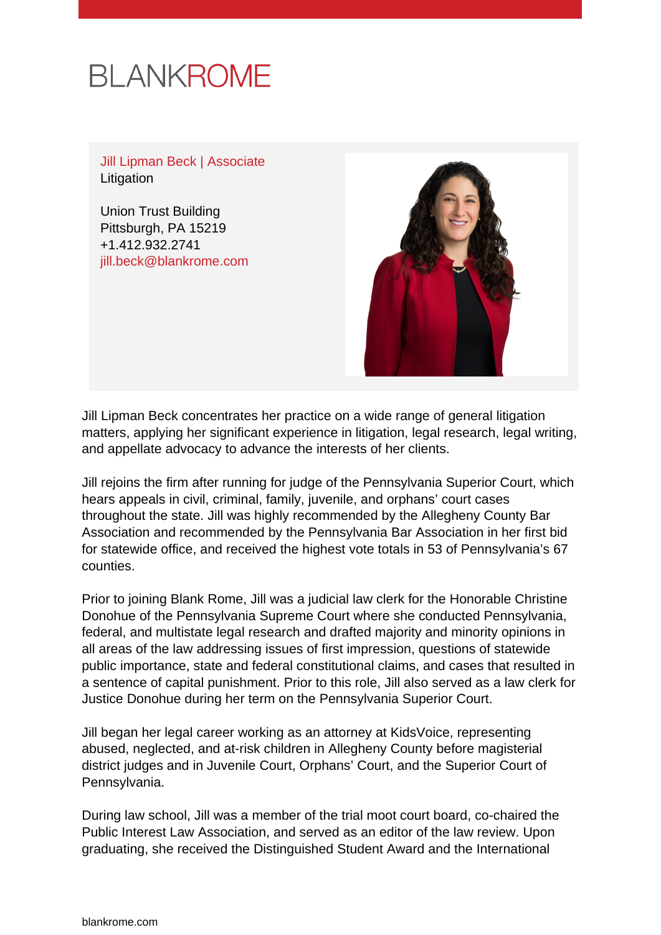# **BLANKROME**

Jill Lipman Beck | Associate Litigation

Union Trust Building Pittsburgh, PA 15219 +1.412.932.2741 [jill.beck@blankrome.com](mailto:jill.beck@blankrome.com)



Jill Lipman Beck concentrates her practice on a wide range of general litigation matters, applying her significant experience in litigation, legal research, legal writing, and appellate advocacy to advance the interests of her clients.

Jill rejoins the firm after running for judge of the Pennsylvania Superior Court, which hears appeals in civil, criminal, family, juvenile, and orphans' court cases throughout the state. Jill was highly recommended by the Allegheny County Bar Association and recommended by the Pennsylvania Bar Association in her first bid for statewide office, and received the highest vote totals in 53 of Pennsylvania's 67 counties.

Prior to joining Blank Rome, Jill was a judicial law clerk for the Honorable Christine Donohue of the Pennsylvania Supreme Court where she conducted Pennsylvania, federal, and multistate legal research and drafted majority and minority opinions in all areas of the law addressing issues of first impression, questions of statewide public importance, state and federal constitutional claims, and cases that resulted in a sentence of capital punishment. Prior to this role, Jill also served as a law clerk for Justice Donohue during her term on the Pennsylvania Superior Court.

Jill began her legal career working as an attorney at KidsVoice, representing abused, neglected, and at-risk children in Allegheny County before magisterial district judges and in Juvenile Court, Orphans' Court, and the Superior Court of Pennsylvania.

During law school, Jill was a member of the trial moot court board, co-chaired the Public Interest Law Association, and served as an editor of the law review. Upon graduating, she received the Distinguished Student Award and the International